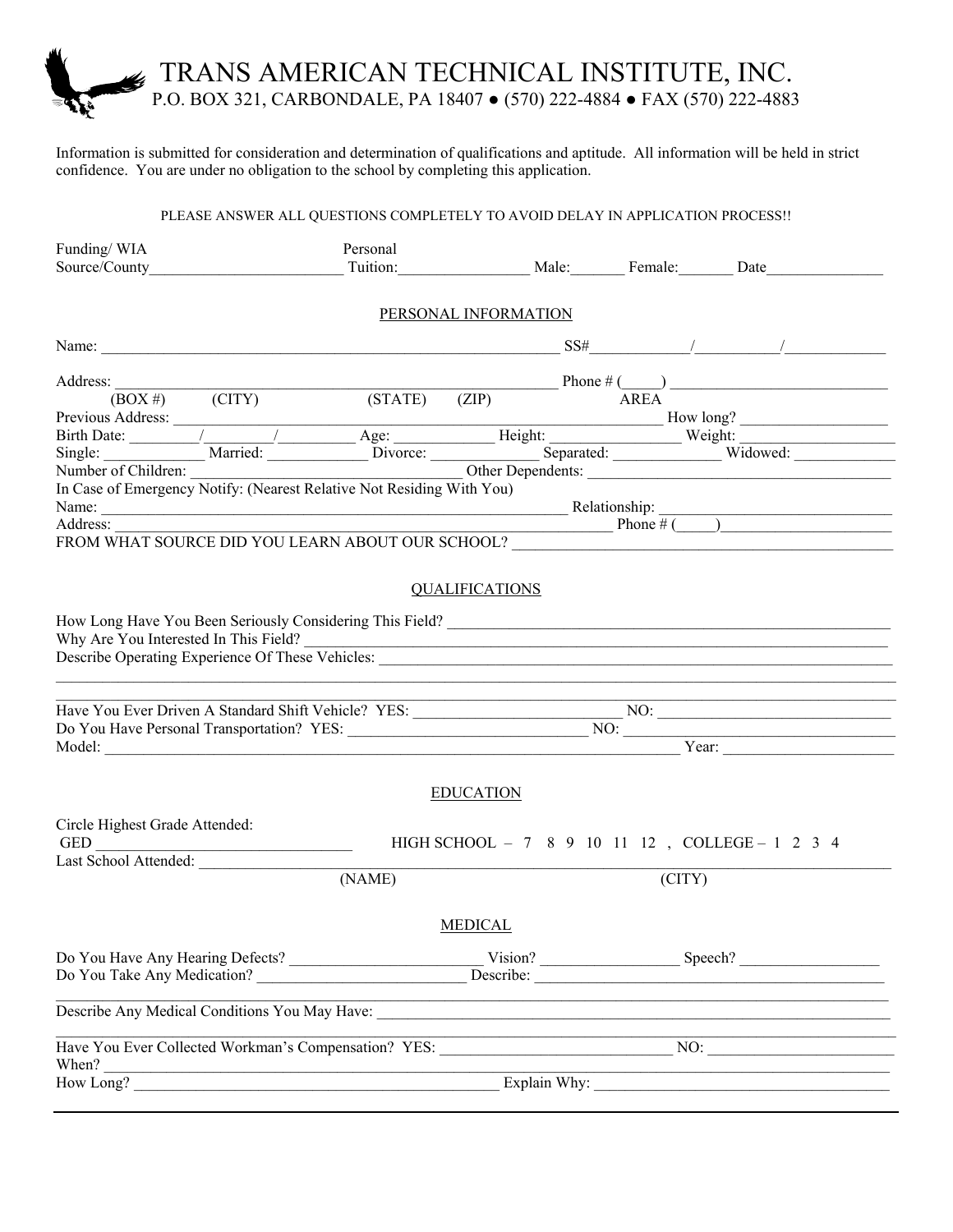### TRANS AMERICAN TECHNICAL INSTITUTE, INC. P.O. BOX 321, CARBONDALE, PA 18407 ● (570) 222-4884 ● FAX (570) 222-4883

Information is submitted for consideration and determination of qualifications and aptitude. All information will be held in strict confidence. You are under no obligation to the school by completing this application.

#### PLEASE ANSWER ALL QUESTIONS COMPLETELY TO AVOID DELAY IN APPLICATION PROCESS!!

| Funding/WIA                                                                                                                                                                                                                                                                                                                                                                                                                                               |                                   | Personal |                                    |        |                                                                                                                                                |
|-----------------------------------------------------------------------------------------------------------------------------------------------------------------------------------------------------------------------------------------------------------------------------------------------------------------------------------------------------------------------------------------------------------------------------------------------------------|-----------------------------------|----------|------------------------------------|--------|------------------------------------------------------------------------------------------------------------------------------------------------|
| Source/County                                                                                                                                                                                                                                                                                                                                                                                                                                             |                                   |          |                                    |        | Tuition: Male: Female: Date                                                                                                                    |
|                                                                                                                                                                                                                                                                                                                                                                                                                                                           |                                   |          |                                    |        |                                                                                                                                                |
|                                                                                                                                                                                                                                                                                                                                                                                                                                                           |                                   |          | PERSONAL INFORMATION               |        |                                                                                                                                                |
|                                                                                                                                                                                                                                                                                                                                                                                                                                                           |                                   |          |                                    |        | Name: $\frac{1}{\sqrt{2}}$ SS# $\frac{1}{\sqrt{2}}$ SS# $\frac{1}{\sqrt{2}}$ /                                                                 |
| Address:                                                                                                                                                                                                                                                                                                                                                                                                                                                  |                                   |          |                                    |        |                                                                                                                                                |
|                                                                                                                                                                                                                                                                                                                                                                                                                                                           | $(BOX \#)$ $\qquad \qquad (CITY)$ |          | $(TATE)$ $(ZIP)$ $\overline{AREA}$ |        |                                                                                                                                                |
|                                                                                                                                                                                                                                                                                                                                                                                                                                                           |                                   |          |                                    |        |                                                                                                                                                |
|                                                                                                                                                                                                                                                                                                                                                                                                                                                           |                                   |          |                                    |        |                                                                                                                                                |
|                                                                                                                                                                                                                                                                                                                                                                                                                                                           |                                   |          |                                    |        |                                                                                                                                                |
|                                                                                                                                                                                                                                                                                                                                                                                                                                                           |                                   |          |                                    |        |                                                                                                                                                |
| In Case of Emergency Notify: (Nearest Relative Not Residing With You)                                                                                                                                                                                                                                                                                                                                                                                     |                                   |          |                                    |        |                                                                                                                                                |
|                                                                                                                                                                                                                                                                                                                                                                                                                                                           |                                   |          |                                    |        |                                                                                                                                                |
| Address:                                                                                                                                                                                                                                                                                                                                                                                                                                                  |                                   |          |                                    |        | $\frac{1}{2}$ Phone $\frac{1}{2}$ Phone $\frac{1}{2}$                                                                                          |
| FROM WHAT SOURCE DID YOU LEARN ABOUT OUR SCHOOL?                                                                                                                                                                                                                                                                                                                                                                                                          |                                   |          |                                    |        |                                                                                                                                                |
|                                                                                                                                                                                                                                                                                                                                                                                                                                                           |                                   |          |                                    |        |                                                                                                                                                |
|                                                                                                                                                                                                                                                                                                                                                                                                                                                           |                                   |          | <b>QUALIFICATIONS</b>              |        |                                                                                                                                                |
|                                                                                                                                                                                                                                                                                                                                                                                                                                                           |                                   |          |                                    |        |                                                                                                                                                |
|                                                                                                                                                                                                                                                                                                                                                                                                                                                           |                                   |          |                                    |        |                                                                                                                                                |
|                                                                                                                                                                                                                                                                                                                                                                                                                                                           |                                   |          |                                    |        | Why Are You Interested In This Field?                                                                                                          |
|                                                                                                                                                                                                                                                                                                                                                                                                                                                           |                                   |          |                                    |        |                                                                                                                                                |
|                                                                                                                                                                                                                                                                                                                                                                                                                                                           |                                   |          |                                    |        |                                                                                                                                                |
|                                                                                                                                                                                                                                                                                                                                                                                                                                                           |                                   |          |                                    |        |                                                                                                                                                |
|                                                                                                                                                                                                                                                                                                                                                                                                                                                           |                                   |          |                                    |        |                                                                                                                                                |
|                                                                                                                                                                                                                                                                                                                                                                                                                                                           |                                   |          |                                    |        | Year:                                                                                                                                          |
|                                                                                                                                                                                                                                                                                                                                                                                                                                                           |                                   |          |                                    |        |                                                                                                                                                |
|                                                                                                                                                                                                                                                                                                                                                                                                                                                           |                                   |          |                                    |        |                                                                                                                                                |
|                                                                                                                                                                                                                                                                                                                                                                                                                                                           |                                   |          | <b>EDUCATION</b>                   |        |                                                                                                                                                |
| Circle Highest Grade Attended:                                                                                                                                                                                                                                                                                                                                                                                                                            |                                   |          |                                    |        |                                                                                                                                                |
| $\begin{tabular}{c} GED \begin{tabular}{ c c c c } \hline \multicolumn{3}{ c }{\textbf{GED}} & \multicolumn{3}{ c }{\textbf{GED}} \\ \hline \multicolumn{3}{ c }{\textbf{GED}} & \multicolumn{3}{ c }{\textbf{GED}} \\ \hline \multicolumn{3}{ c }{\textbf{GED}} & \multicolumn{3}{ c }{\textbf{GED}} \\ \hline \multicolumn{3}{ c }{\textbf{GED}} & \multicolumn{3}{ c }{\textbf{GED}} \\ \hline \multicolumn{3}{ c }{\textbf{GED}} & \multicolumn{3}{ $ |                                   |          |                                    |        | HIGH SCHOOL - 7 8 9 10 11 12, COLLEGE - 1 2 3 4                                                                                                |
| Last School Attended:                                                                                                                                                                                                                                                                                                                                                                                                                                     |                                   |          |                                    |        |                                                                                                                                                |
|                                                                                                                                                                                                                                                                                                                                                                                                                                                           |                                   | (NAME)   |                                    | (CITY) |                                                                                                                                                |
|                                                                                                                                                                                                                                                                                                                                                                                                                                                           |                                   |          |                                    |        |                                                                                                                                                |
|                                                                                                                                                                                                                                                                                                                                                                                                                                                           |                                   |          | <b>MEDICAL</b>                     |        |                                                                                                                                                |
|                                                                                                                                                                                                                                                                                                                                                                                                                                                           |                                   |          |                                    |        |                                                                                                                                                |
|                                                                                                                                                                                                                                                                                                                                                                                                                                                           |                                   |          |                                    |        |                                                                                                                                                |
|                                                                                                                                                                                                                                                                                                                                                                                                                                                           |                                   |          |                                    |        | Do You Take Any Medication? Describe: Describe:                                                                                                |
|                                                                                                                                                                                                                                                                                                                                                                                                                                                           |                                   |          |                                    |        | <u> 1989 - Johann Stoff, amerikansk politiker (d. 1989)</u>                                                                                    |
|                                                                                                                                                                                                                                                                                                                                                                                                                                                           |                                   |          |                                    |        |                                                                                                                                                |
|                                                                                                                                                                                                                                                                                                                                                                                                                                                           |                                   |          |                                    |        | Have You Ever Collected Workman's Compensation? YES: NO: NO:                                                                                   |
|                                                                                                                                                                                                                                                                                                                                                                                                                                                           |                                   |          |                                    |        |                                                                                                                                                |
|                                                                                                                                                                                                                                                                                                                                                                                                                                                           |                                   |          |                                    |        | <u> 1989 - Paris Paris III, prima matematika a prima matematika a prima matematika a prima matematika a prima ma</u><br>How Long? Explain Why: |
|                                                                                                                                                                                                                                                                                                                                                                                                                                                           |                                   |          |                                    |        |                                                                                                                                                |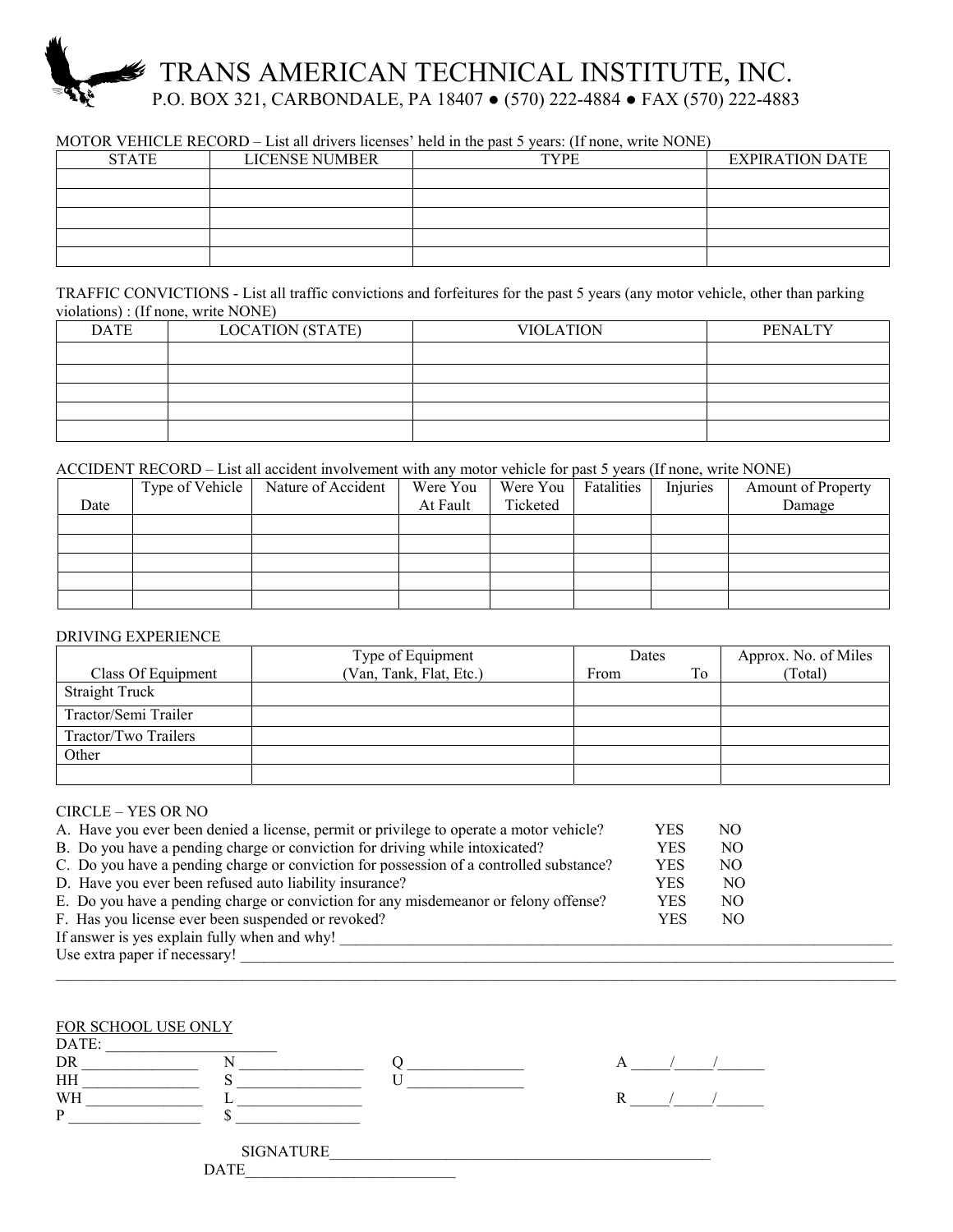## TRANS AMERICAN TECHNICAL INSTITUTE, INC. P.O. BOX 321, CARBONDALE, PA 18407 ● (570) 222-4884 ● FAX (570) 222-4883

#### MOTOR VEHICLE RECORD – List all drivers licenses' held in the past 5 years: (If none, write NONE)

| <b>STATE</b> | LICENSE NUMBER | <b>TYPE</b> | <b>EXPIRATION DATE</b> |
|--------------|----------------|-------------|------------------------|
|              |                |             |                        |
|              |                |             |                        |
|              |                |             |                        |
|              |                |             |                        |
|              |                |             |                        |

TRAFFIC CONVICTIONS - List all traffic convictions and forfeitures for the past 5 years (any motor vehicle, other than parking violations) : (If none, write NONE)

| <b>DATE</b> | <b>LOCATION (STATE)</b> | <b>VIOLATION</b> | <b>PENALTY</b> |
|-------------|-------------------------|------------------|----------------|
|             |                         |                  |                |
|             |                         |                  |                |
|             |                         |                  |                |
|             |                         |                  |                |
|             |                         |                  |                |

#### ACCIDENT RECORD – List all accident involvement with any motor vehicle for past 5 years (If none, write NONE)

| Date | Type of Vehicle | Nature of Accident | Were You<br>At Fault | Were You<br>Ticketed | Fatalities | Injuries | <b>Amount of Property</b><br>Damage |
|------|-----------------|--------------------|----------------------|----------------------|------------|----------|-------------------------------------|
|      |                 |                    |                      |                      |            |          |                                     |
|      |                 |                    |                      |                      |            |          |                                     |
|      |                 |                    |                      |                      |            |          |                                     |
|      |                 |                    |                      |                      |            |          |                                     |
|      |                 |                    |                      |                      |            |          |                                     |

#### DRIVING EXPERIENCE

|                       | Type of Equipment       | Dates |    | Approx. No. of Miles |
|-----------------------|-------------------------|-------|----|----------------------|
| Class Of Equipment    | (Van, Tank, Flat, Etc.) | From  | To | (Total)              |
| <b>Straight Truck</b> |                         |       |    |                      |
| Tractor/Semi Trailer  |                         |       |    |                      |
| Tractor/Two Trailers  |                         |       |    |                      |
| Other                 |                         |       |    |                      |
|                       |                         |       |    |                      |

#### CIRCLE – YES OR NO

| A. Have you ever been denied a license, permit or privilege to operate a motor vehicle? | YES        | NО  |  |  |
|-----------------------------------------------------------------------------------------|------------|-----|--|--|
| B. Do you have a pending charge or conviction for driving while intoxicated?            | YES        | NO. |  |  |
| C. Do you have a pending charge or conviction for possession of a controlled substance? | <b>YES</b> | NO. |  |  |
| D. Have you ever been refused auto liability insurance?                                 | <b>YES</b> | NO. |  |  |
| E. Do you have a pending charge or conviction for any misdemeanor or felony offense?    | <b>YES</b> | NO. |  |  |
| F. Has you license ever been suspended or revoked?                                      | <b>YES</b> | NO  |  |  |
| If answer is yes explain fully when and why!                                            |            |     |  |  |
| Use extra paper if necessary!                                                           |            |     |  |  |

 $\mathcal{L}_\text{max} = \mathcal{L}_\text{max} = \mathcal{L}_\text{max} = \mathcal{L}_\text{max} = \mathcal{L}_\text{max} = \mathcal{L}_\text{max} = \mathcal{L}_\text{max} = \mathcal{L}_\text{max} = \mathcal{L}_\text{max} = \mathcal{L}_\text{max} = \mathcal{L}_\text{max} = \mathcal{L}_\text{max} = \mathcal{L}_\text{max} = \mathcal{L}_\text{max} = \mathcal{L}_\text{max} = \mathcal{L}_\text{max} = \mathcal{L}_\text{max} = \mathcal{L}_\text{max} = \mathcal{$ 

| FOR SCHOOL USE ONLY<br>DATE:<br>DR<br>HH<br>WH<br><b>SIGNATURE</b> |  |
|--------------------------------------------------------------------|--|
| <b>DATE</b>                                                        |  |